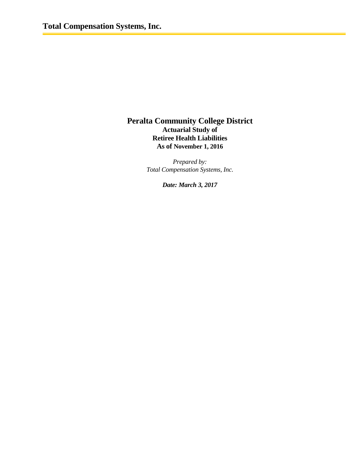## **Peralta Community College District Actuarial Study of Retiree Health Liabilities As of November 1, 2016**

*Prepared by: Total Compensation Systems, Inc.*

*Date: March 3, 2017*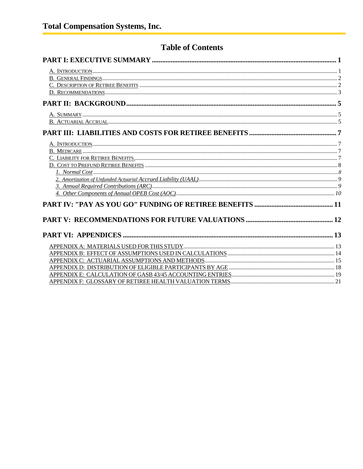## **Table of Contents**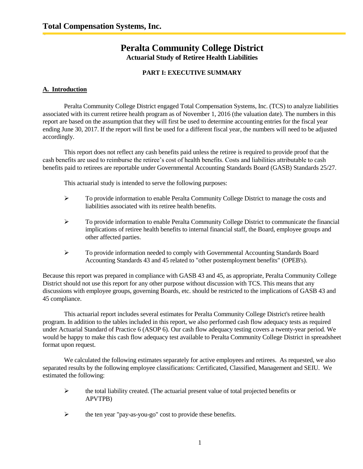## **Peralta Community College District Actuarial Study of Retiree Health Liabilities**

## **PART I: EXECUTIVE SUMMARY**

## **A. Introduction**

Peralta Community College District engaged Total Compensation Systems, Inc. (TCS) to analyze liabilities associated with its current retiree health program as of November 1, 2016 (the valuation date). The numbers in this report are based on the assumption that they will first be used to determine accounting entries for the fiscal year ending June 30, 2017. If the report will first be used for a different fiscal year, the numbers will need to be adjusted accordingly.

This report does not reflect any cash benefits paid unless the retiree is required to provide proof that the cash benefits are used to reimburse the retiree's cost of health benefits. Costs and liabilities attributable to cash benefits paid to retirees are reportable under Governmental Accounting Standards Board (GASB) Standards 25/27.

This actuarial study is intended to serve the following purposes:

- $\triangleright$  To provide information to enable Peralta Community College District to manage the costs and liabilities associated with its retiree health benefits.
- To provide information to enable Peralta Community College District to communicate the financial implications of retiree health benefits to internal financial staff, the Board, employee groups and other affected parties.
- To provide information needed to comply with Governmental Accounting Standards Board Accounting Standards 43 and 45 related to "other postemployment benefits" (OPEB's).

Because this report was prepared in compliance with GASB 43 and 45, as appropriate, Peralta Community College District should not use this report for any other purpose without discussion with TCS. This means that any discussions with employee groups, governing Boards, etc. should be restricted to the implications of GASB 43 and 45 compliance.

This actuarial report includes several estimates for Peralta Community College District's retiree health program. In addition to the tables included in this report, we also performed cash flow adequacy tests as required under Actuarial Standard of Practice 6 (ASOP 6). Our cash flow adequacy testing covers a twenty-year period. We would be happy to make this cash flow adequacy test available to Peralta Community College District in spreadsheet format upon request.

We calculated the following estimates separately for active employees and retirees. As requested, we also separated results by the following employee classifications: Certificated, Classified, Management and SEIU. We estimated the following:

- $\triangleright$  the total liability created. (The actuarial present value of total projected benefits or APVTPB)
- $\triangleright$  the ten year "pay-as-you-go" cost to provide these benefits.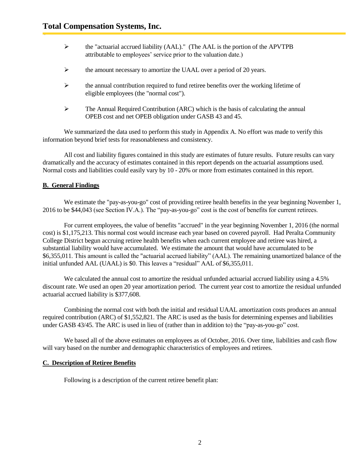- the "actuarial accrued liability (AAL)." (The AAL is the portion of the APVTPB attributable to employees' service prior to the valuation date.)
- $\triangleright$  the amount necessary to amortize the UAAL over a period of 20 years.
- $\triangleright$  the annual contribution required to fund retiree benefits over the working lifetime of eligible employees (the "normal cost").
- $\triangleright$  The Annual Required Contribution (ARC) which is the basis of calculating the annual OPEB cost and net OPEB obligation under GASB 43 and 45.

We summarized the data used to perform this study in Appendix A. No effort was made to verify this information beyond brief tests for reasonableness and consistency.

All cost and liability figures contained in this study are estimates of future results. Future results can vary dramatically and the accuracy of estimates contained in this report depends on the actuarial assumptions used. Normal costs and liabilities could easily vary by 10 - 20% or more from estimates contained in this report.

## **B. General Findings**

We estimate the "pay-as-you-go" cost of providing retiree health benefits in the year beginning November 1, 2016 to be \$44,043 (see Section IV.A.). The "pay-as-you-go" cost is the cost of benefits for current retirees.

For current employees, the value of benefits "accrued" in the year beginning November 1, 2016 (the normal cost) is \$1,175,213. This normal cost would increase each year based on covered payroll. Had Peralta Community College District begun accruing retiree health benefits when each current employee and retiree was hired, a substantial liability would have accumulated. We estimate the amount that would have accumulated to be \$6,355,011. This amount is called the "actuarial accrued liability" (AAL). The remaining unamortized balance of the initial unfunded AAL (UAAL) is \$0. This leaves a "residual" AAL of \$6,355,011.

We calculated the annual cost to amortize the residual unfunded actuarial accrued liability using a 4.5% discount rate. We used an open 20 year amortization period. The current year cost to amortize the residual unfunded actuarial accrued liability is \$377,608.

Combining the normal cost with both the initial and residual UAAL amortization costs produces an annual required contribution (ARC) of \$1,552,821. The ARC is used as the basis for determining expenses and liabilities under GASB 43/45. The ARC is used in lieu of (rather than in addition to) the "pay-as-you-go" cost.

We based all of the above estimates on employees as of October, 2016. Over time, liabilities and cash flow will vary based on the number and demographic characteristics of employees and retirees.

#### **C. Description of Retiree Benefits**

Following is a description of the current retiree benefit plan: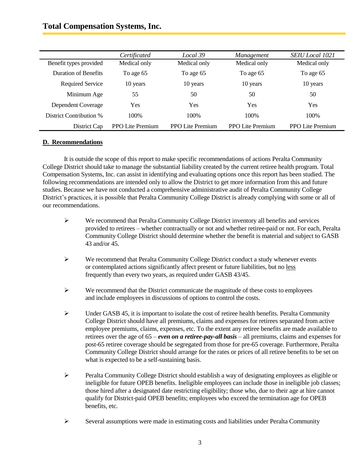## **Total Compensation Systems, Inc.**

|                         | Certificated            | Local 39                | Management              | <b>SEIU</b> Local 1021  |
|-------------------------|-------------------------|-------------------------|-------------------------|-------------------------|
| Benefit types provided  | Medical only            | Medical only            | Medical only            | Medical only            |
| Duration of Benefits    | To age 65               | To age 65               | To age 65               | To age 65               |
| Required Service        | 10 years                | 10 years                | 10 years                | 10 years                |
| Minimum Age             | 55                      | 50                      | 50                      | 50                      |
| Dependent Coverage      | Yes                     | Yes                     | Yes                     | Yes                     |
| District Contribution % | 100\%                   | 100\%                   | 100\%                   | 100\%                   |
| District Cap            | <b>PPO Lite Premium</b> | <b>PPO Lite Premium</b> | <b>PPO Lite Premium</b> | <b>PPO Lite Premium</b> |

## **D. Recommendations**

It is outside the scope of this report to make specific recommendations of actions Peralta Community College District should take to manage the substantial liability created by the current retiree health program. Total Compensation Systems, Inc. can assist in identifying and evaluating options once this report has been studied. The following recommendations are intended only to allow the District to get more information from this and future studies. Because we have not conducted a comprehensive administrative audit of Peralta Community College District's practices, it is possible that Peralta Community College District is already complying with some or all of our recommendations.

- $\triangleright$  We recommend that Peralta Community College District inventory all benefits and services provided to retirees – whether contractually or not and whether retiree-paid or not. For each, Peralta Community College District should determine whether the benefit is material and subject to GASB 43 and/or 45.
- $\triangleright$  We recommend that Peralta Community College District conduct a study whenever events or contemplated actions significantly affect present or future liabilities, but no less frequently than every two years, as required under GASB 43/45.
- $\triangleright$  We recommend that the District communicate the magnitude of these costs to employees and include employees in discussions of options to control the costs.
- $\triangleright$  Under GASB 45, it is important to isolate the cost of retiree health benefits. Peralta Community College District should have all premiums, claims and expenses for retirees separated from active employee premiums, claims, expenses, etc. To the extent any retiree benefits are made available to retirees over the age of 65 – *even on a retiree-pay-all basis* – all premiums, claims and expenses for post-65 retiree coverage should be segregated from those for pre-65 coverage. Furthermore, Peralta Community College District should arrange for the rates or prices of all retiree benefits to be set on what is expected to be a self-sustaining basis.
- $\triangleright$  Peralta Community College District should establish a way of designating employees as eligible or ineligible for future OPEB benefits. Ineligible employees can include those in ineligible job classes; those hired after a designated date restricting eligibility; those who, due to their age at hire cannot qualify for District-paid OPEB benefits; employees who exceed the termination age for OPEB benefits, etc.
- $\triangleright$  Several assumptions were made in estimating costs and liabilities under Peralta Community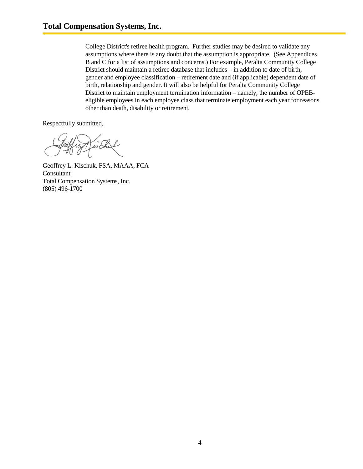College District's retiree health program. Further studies may be desired to validate any assumptions where there is any doubt that the assumption is appropriate. (See Appendices B and C for a list of assumptions and concerns.) For example, Peralta Community College District should maintain a retiree database that includes – in addition to date of birth, gender and employee classification – retirement date and (if applicable) dependent date of birth, relationship and gender. It will also be helpful for Peralta Community College District to maintain employment termination information – namely, the number of OPEBeligible employees in each employee class that terminate employment each year for reasons other than death, disability or retirement.

Respectfully submitted,

Geoffrey L. Kischuk, FSA, MAAA, FCA Consultant Total Compensation Systems, Inc. (805) 496-1700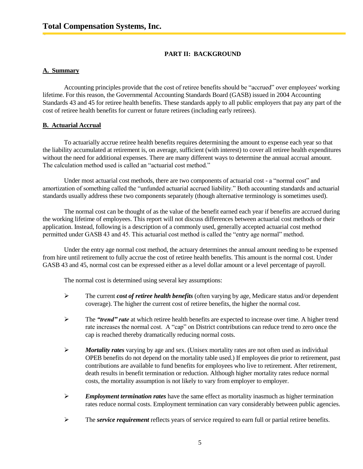## **PART II: BACKGROUND**

## **A. Summary**

Accounting principles provide that the cost of retiree benefits should be "accrued" over employees' working lifetime. For this reason, the Governmental Accounting Standards Board (GASB) issued in 2004 Accounting Standards 43 and 45 for retiree health benefits. These standards apply to all public employers that pay any part of the cost of retiree health benefits for current or future retirees (including early retirees).

## **B. Actuarial Accrual**

To actuarially accrue retiree health benefits requires determining the amount to expense each year so that the liability accumulated at retirement is, on average, sufficient (with interest) to cover all retiree health expenditures without the need for additional expenses. There are many different ways to determine the annual accrual amount. The calculation method used is called an "actuarial cost method."

Under most actuarial cost methods, there are two components of actuarial cost - a "normal cost" and amortization of something called the "unfunded actuarial accrued liability." Both accounting standards and actuarial standards usually address these two components separately (though alternative terminology is sometimes used).

The normal cost can be thought of as the value of the benefit earned each year if benefits are accrued during the working lifetime of employees. This report will not discuss differences between actuarial cost methods or their application. Instead, following is a description of a commonly used, generally accepted actuarial cost method permitted under GASB 43 and 45. This actuarial cost method is called the "entry age normal" method.

Under the entry age normal cost method, the actuary determines the annual amount needing to be expensed from hire until retirement to fully accrue the cost of retiree health benefits. This amount is the normal cost. Under GASB 43 and 45, normal cost can be expressed either as a level dollar amount or a level percentage of payroll.

The normal cost is determined using several key assumptions:

- The current *cost of retiree health benefits* (often varying by age, Medicare status and/or dependent coverage). The higher the current cost of retiree benefits, the higher the normal cost.
- The *"trend" rate* at which retiree health benefits are expected to increase over time. A higher trend rate increases the normal cost. A "cap" on District contributions can reduce trend to zero once the cap is reached thereby dramatically reducing normal costs.
- *Mortality rates* varying by age and sex. (Unisex mortality rates are not often used as individual OPEB benefits do not depend on the mortality table used.) If employees die prior to retirement, past contributions are available to fund benefits for employees who live to retirement. After retirement, death results in benefit termination or reduction. Although higher mortality rates reduce normal costs, the mortality assumption is not likely to vary from employer to employer.
- *Employment termination rates* have the same effect as mortality inasmuch as higher termination rates reduce normal costs. Employment termination can vary considerably between public agencies.
- The *service requirement* reflects years of service required to earn full or partial retiree benefits.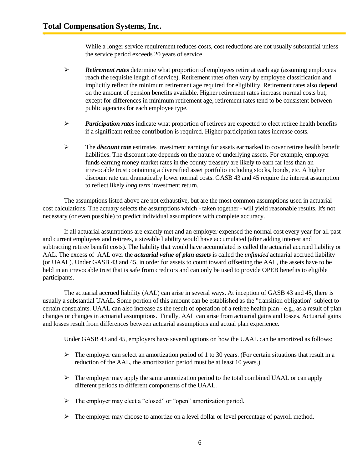While a longer service requirement reduces costs, cost reductions are not usually substantial unless the service period exceeds 20 years of service.

- *Retirement rates* determine what proportion of employees retire at each age (assuming employees reach the requisite length of service). Retirement rates often vary by employee classification and implicitly reflect the minimum retirement age required for eligibility. Retirement rates also depend on the amount of pension benefits available. Higher retirement rates increase normal costs but, except for differences in minimum retirement age, retirement rates tend to be consistent between public agencies for each employee type.
- *Participation rates* indicate what proportion of retirees are expected to elect retiree health benefits if a significant retiree contribution is required. Higher participation rates increase costs.
- The *discount rate* estimates investment earnings for assets earmarked to cover retiree health benefit liabilities. The discount rate depends on the nature of underlying assets. For example, employer funds earning money market rates in the county treasury are likely to earn far less than an irrevocable trust containing a diversified asset portfolio including stocks, bonds, etc. A higher discount rate can dramatically lower normal costs. GASB 43 and 45 require the interest assumption to reflect likely *long term* investment return.

The assumptions listed above are not exhaustive, but are the most common assumptions used in actuarial cost calculations. The actuary selects the assumptions which - taken together - will yield reasonable results. It's not necessary (or even possible) to predict individual assumptions with complete accuracy.

If all actuarial assumptions are exactly met and an employer expensed the normal cost every year for all past and current employees and retirees, a sizeable liability would have accumulated (after adding interest and subtracting retiree benefit costs). The liability that would have accumulated is called the actuarial accrued liability or AAL. The excess of AAL over the *actuarial value of plan assets* is called the *unfunded* actuarial accrued liability (or UAAL). Under GASB 43 and 45, in order for assets to count toward offsetting the AAL, the assets have to be held in an irrevocable trust that is safe from creditors and can only be used to provide OPEB benefits to eligible participants.

The actuarial accrued liability (AAL) can arise in several ways. At inception of GASB 43 and 45, there is usually a substantial UAAL. Some portion of this amount can be established as the "transition obligation" subject to certain constraints. UAAL can also increase as the result of operation of a retiree health plan - e.g., as a result of plan changes or changes in actuarial assumptions. Finally, AAL can arise from actuarial gains and losses. Actuarial gains and losses result from differences between actuarial assumptions and actual plan experience.

Under GASB 43 and 45, employers have several options on how the UAAL can be amortized as follows:

- $\triangleright$  The employer can select an amortization period of 1 to 30 years. (For certain situations that result in a reduction of the AAL, the amortization period must be at least 10 years.)
- $\triangleright$  The employer may apply the same amortization period to the total combined UAAL or can apply different periods to different components of the UAAL.
- $\triangleright$  The employer may elect a "closed" or "open" amortization period.
- > The employer may choose to amortize on a level dollar or level percentage of payroll method.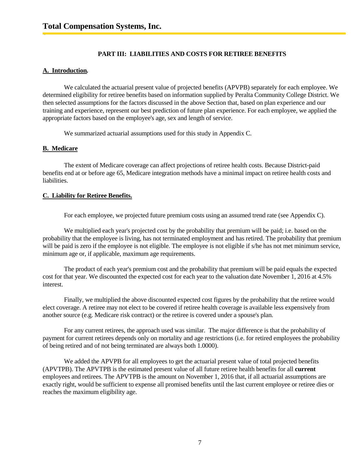## **PART III: LIABILITIES AND COSTS FOR RETIREE BENEFITS**

## **A. Introduction***.*

We calculated the actuarial present value of projected benefits (APVPB) separately for each employee. We determined eligibility for retiree benefits based on information supplied by Peralta Community College District. We then selected assumptions for the factors discussed in the above Section that, based on plan experience and our training and experience, represent our best prediction of future plan experience. For each employee, we applied the appropriate factors based on the employee's age, sex and length of service.

We summarized actuarial assumptions used for this study in Appendix C.

## **B. Medicare**

The extent of Medicare coverage can affect projections of retiree health costs. Because District-paid benefits end at or before age 65, Medicare integration methods have a minimal impact on retiree health costs and liabilities.

## **C. Liability for Retiree Benefits.**

For each employee, we projected future premium costs using an assumed trend rate (see Appendix C).

We multiplied each year's projected cost by the probability that premium will be paid; i.e. based on the probability that the employee is living, has not terminated employment and has retired. The probability that premium will be paid is zero if the employee is not eligible. The employee is not eligible if s/he has not met minimum service, minimum age or, if applicable, maximum age requirements.

The product of each year's premium cost and the probability that premium will be paid equals the expected cost for that year. We discounted the expected cost for each year to the valuation date November 1, 2016 at 4.5% interest.

Finally, we multiplied the above discounted expected cost figures by the probability that the retiree would elect coverage. A retiree may not elect to be covered if retiree health coverage is available less expensively from another source (e.g. Medicare risk contract) or the retiree is covered under a spouse's plan.

For any current retirees, the approach used was similar. The major difference is that the probability of payment for current retirees depends only on mortality and age restrictions (i.e. for retired employees the probability of being retired and of not being terminated are always both 1.0000).

We added the APVPB for all employees to get the actuarial present value of total projected benefits (APVTPB). The APVTPB is the estimated present value of all future retiree health benefits for all **current** employees and retirees. The APVTPB is the amount on November 1, 2016 that, if all actuarial assumptions are exactly right, would be sufficient to expense all promised benefits until the last current employee or retiree dies or reaches the maximum eligibility age.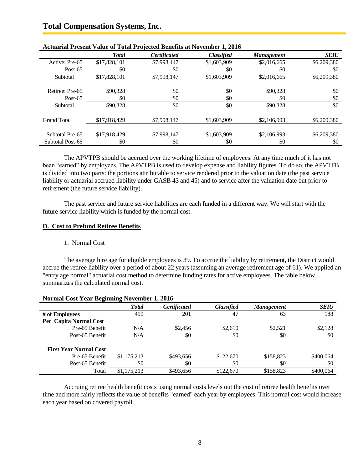## **Total Compensation Systems, Inc.**

| Actuariai I resent Value of Total I rojected Defierits at November 1, 2010 |              |                     |                   |                   |             |
|----------------------------------------------------------------------------|--------------|---------------------|-------------------|-------------------|-------------|
|                                                                            | <b>Total</b> | <b>Certificated</b> | <b>Classified</b> | <b>Management</b> | <b>SEIU</b> |
| Active: Pre-65                                                             | \$17,828,101 | \$7,998,147         | \$1,603,909       | \$2,016,665       | \$6,209,380 |
| Post- $65$                                                                 | \$0          | \$0                 | \$0               | \$0               | \$0         |
| Subtotal                                                                   | \$17,828,101 | \$7,998,147         | \$1,603,909       | \$2,016,665       | \$6,209,380 |
|                                                                            |              |                     |                   |                   |             |
| Retiree: Pre-65                                                            | \$90,328     | \$0                 | \$0               | \$90,328          | \$0         |
| Post- $65$                                                                 | \$0          | \$0                 | \$0               | \$0               | \$0         |
| Subtotal                                                                   | \$90,328     | \$0                 | \$0               | \$90,328          | \$0         |
|                                                                            |              |                     |                   |                   |             |
| <b>Grand Total</b>                                                         | \$17.918.429 | \$7,998,147         | \$1,603,909       | \$2,106,993       | \$6,209,380 |
|                                                                            |              |                     |                   |                   |             |
| Subtotal Pre-65                                                            | \$17,918,429 | \$7,998,147         | \$1,603,909       | \$2,106,993       | \$6,209,380 |
| Subtotal Post-65                                                           | \$0          | \$0                 | \$0               | \$0               | \$0         |

## **Actuarial Present Value of Total Projected Benefits at November 1, 2016**

The APVTPB should be accrued over the working lifetime of employees. At any time much of it has not been "earned" by employees. The APVTPB is used to develop expense and liability figures. To do so, the APVTFB is divided into two parts: the portions attributable to service rendered prior to the valuation date (the past service liability or actuarial accrued liability under GASB 43 and 45) and to service after the valuation date but prior to retirement (the future service liability).

The past service and future service liabilities are each funded in a different way. We will start with the future service liability which is funded by the normal cost.

#### **D. Cost to Prefund Retiree Benefits**

#### 1. Normal Cost

The average hire age for eligible employees is 39. To accrue the liability by retirement, the District would accrue the retiree liability over a period of about 22 years (assuming an average retirement age of 61). We applied an "entry age normal" actuarial cost method to determine funding rates for active employees. The table below summarizes the calculated normal cost.

|                               | <b>Total</b> | <b>Certificated</b> | <b>Classified</b> | <b>Management</b> | <b>SEIU</b> |
|-------------------------------|--------------|---------------------|-------------------|-------------------|-------------|
| # of Employees                | 499          | 201                 | 47                | 63                | 188         |
| Per Capita Normal Cost        |              |                     |                   |                   |             |
| Pre-65 Benefit                | N/A          | \$2,456             | \$2,610           | \$2,521           | \$2,128     |
| Post-65 Benefit               | N/A          | \$0                 | \$0               | \$0               | \$0         |
| <b>First Year Normal Cost</b> |              |                     |                   |                   |             |
| Pre-65 Benefit                | \$1,175,213  | \$493.656           | \$122,670         | \$158,823         | \$400,064   |
| Post-65 Benefit               | \$0          | \$0                 | \$0               | \$0               | \$0         |
| Total                         | \$1,175,213  | \$493.656           | \$122,670         | \$158,823         | \$400.064   |

#### **Normal Cost Year Beginning November 1, 2016**

Accruing retiree health benefit costs using normal costs levels out the cost of retiree health benefits over time and more fairly reflects the value of benefits "earned" each year by employees. This normal cost would increase each year based on covered payroll.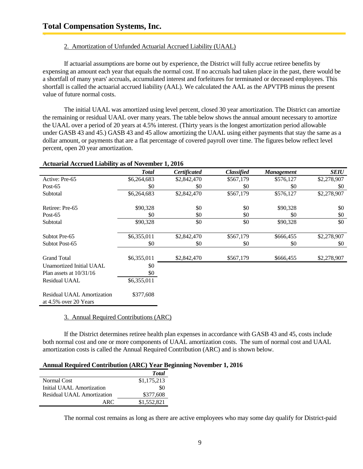## 2. Amortization of Unfunded Actuarial Accrued Liability (UAAL)

If actuarial assumptions are borne out by experience, the District will fully accrue retiree benefits by expensing an amount each year that equals the normal cost. If no accruals had taken place in the past, there would be a shortfall of many years' accruals, accumulated interest and forfeitures for terminated or deceased employees. This shortfall is called the actuarial accrued liability (AAL). We calculated the AAL as the APVTPB minus the present value of future normal costs.

The initial UAAL was amortized using level percent, closed 30 year amortization. The District can amortize the remaining or residual UAAL over many years. The table below shows the annual amount necessary to amortize the UAAL over a period of 20 years at 4.5% interest. (Thirty years is the longest amortization period allowable under GASB 43 and 45.) GASB 43 and 45 allow amortizing the UAAL using either payments that stay the same as a dollar amount, or payments that are a flat percentage of covered payroll over time. The figures below reflect level percent, open 20 year amortization.

#### **Actuarial Accrued Liability as of November 1, 2016**

|                                                               | <b>Total</b> | <b>Certificated</b> | <b>Classified</b> | <b>Management</b> | <b>SEIU</b> |
|---------------------------------------------------------------|--------------|---------------------|-------------------|-------------------|-------------|
| Active: Pre-65                                                | \$6,264,683  | \$2,842,470         | \$567,179         | \$576,127         | \$2,278,907 |
| Post- $65$                                                    | \$0          | \$0                 | \$0               | \$0               | \$0         |
| Subtotal                                                      | \$6,264,683  | \$2,842,470         | \$567,179         | \$576,127         | \$2,278,907 |
| Retiree: Pre-65                                               | \$90,328     | \$0                 | \$0               | \$90,328          | \$0         |
| Post- $65$                                                    | \$0          | \$0                 | \$0               | \$0               | \$0         |
| Subtotal                                                      | \$90,328     | \$0                 | \$0               | \$90,328          | \$0         |
| Subtot Pre-65                                                 | \$6,355,011  | \$2,842,470         | \$567,179         | \$666,455         | \$2,278,907 |
| Subtot Post-65                                                | \$0          | \$0                 | \$0               | \$0               | \$0         |
| <b>Grand Total</b>                                            | \$6,355,011  | \$2,842,470         | \$567,179         | \$666,455         | \$2,278,907 |
| Unamortized Initial UAAL                                      | \$0          |                     |                   |                   |             |
| Plan assets at $10/31/16$                                     | \$0          |                     |                   |                   |             |
| <b>Residual UAAL</b>                                          | \$6,355,011  |                     |                   |                   |             |
| <b>Residual UAAL Amortization</b><br>at $4.5\%$ over 20 Years | \$377,608    |                     |                   |                   |             |

#### 3. Annual Required Contributions (ARC)

If the District determines retiree health plan expenses in accordance with GASB 43 and 45, costs include both normal cost and one or more components of UAAL amortization costs. The sum of normal cost and UAAL amortization costs is called the Annual Required Contribution (ARC) and is shown below.

#### **Annual Required Contribution (ARC) Year Beginning November 1, 2016**

|                            | <b>Total</b> |
|----------------------------|--------------|
| Normal Cost                | \$1,175,213  |
| Initial UAAL Amortization  | \$0          |
| Residual UAAL Amortization | \$377,608    |
| ARC                        | \$1,552,821  |

The normal cost remains as long as there are active employees who may some day qualify for District-paid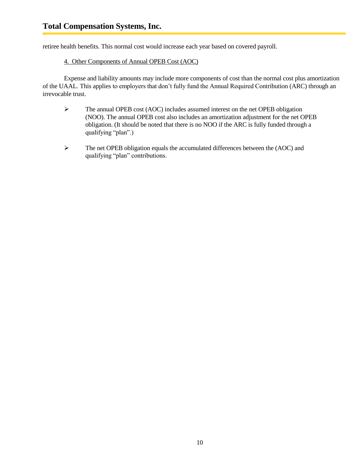retiree health benefits. This normal cost would increase each year based on covered payroll.

## 4. Other Components of Annual OPEB Cost (AOC)

Expense and liability amounts may include more components of cost than the normal cost plus amortization of the UAAL. This applies to employers that don't fully fund the Annual Required Contribution (ARC) through an irrevocable trust.

- The annual OPEB cost (AOC) includes assumed interest on the net OPEB obligation (NOO). The annual OPEB cost also includes an amortization adjustment for the net OPEB obligation. (It should be noted that there is no NOO if the ARC is fully funded through a qualifying "plan".)
- $\triangleright$  The net OPEB obligation equals the accumulated differences between the (AOC) and qualifying "plan" contributions.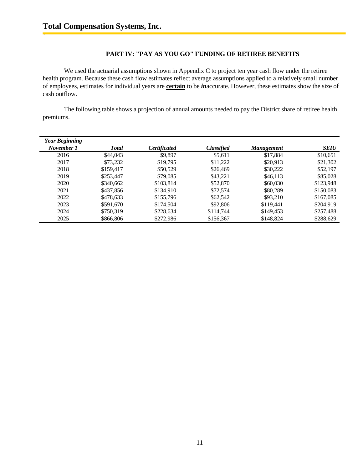## **PART IV: "PAY AS YOU GO" FUNDING OF RETIREE BENEFITS**

We used the actuarial assumptions shown in Appendix C to project ten year cash flow under the retiree health program. Because these cash flow estimates reflect average assumptions applied to a relatively small number of employees, estimates for individual years are **certain** to be *in*accurate. However, these estimates show the size of cash outflow.

The following table shows a projection of annual amounts needed to pay the District share of retiree health premiums.

| <b>Year Beginning</b> |              |                     |                   |                   |             |
|-----------------------|--------------|---------------------|-------------------|-------------------|-------------|
| November 1            | <b>Total</b> | <b>Certificated</b> | <b>Classified</b> | <b>Management</b> | <b>SEIU</b> |
| 2016                  | \$44,043     | \$9,897             | \$5,611           | \$17,884          | \$10,651    |
| 2017                  | \$73,232     | \$19,795            | \$11,222          | \$20,913          | \$21,302    |
| 2018                  | \$159,417    | \$50,529            | \$26,469          | \$30,222          | \$52,197    |
| 2019                  | \$253,447    | \$79,085            | \$43,221          | \$46,113          | \$85,028    |
| 2020                  | \$340,662    | \$103,814           | \$52,870          | \$60,030          | \$123,948   |
| 2021                  | \$437,856    | \$134,910           | \$72,574          | \$80,289          | \$150,083   |
| 2022                  | \$478,633    | \$155,796           | \$62,542          | \$93,210          | \$167,085   |
| 2023                  | \$591,670    | \$174,504           | \$92,806          | \$119,441         | \$204.919   |
| 2024                  | \$750.319    | \$228,634           | \$114,744         | \$149,453         | \$257,488   |
| 2025                  | \$866,806    | \$272,986           | \$156,367         | \$148,824         | \$288,629   |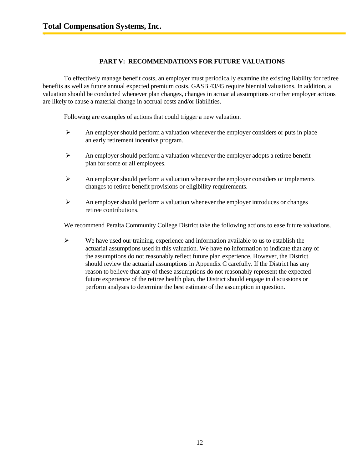## **PART V: RECOMMENDATIONS FOR FUTURE VALUATIONS**

To effectively manage benefit costs, an employer must periodically examine the existing liability for retiree benefits as well as future annual expected premium costs. GASB 43/45 require biennial valuations. In addition, a valuation should be conducted whenever plan changes, changes in actuarial assumptions or other employer actions are likely to cause a material change in accrual costs and/or liabilities.

Following are examples of actions that could trigger a new valuation.

- $\triangleright$  An employer should perform a valuation whenever the employer considers or puts in place an early retirement incentive program.
- $\triangleright$  An employer should perform a valuation whenever the employer adopts a retiree benefit plan for some or all employees.
- $\triangleright$  An employer should perform a valuation whenever the employer considers or implements changes to retiree benefit provisions or eligibility requirements.
- An employer should perform a valuation whenever the employer introduces or changes retiree contributions.

We recommend Peralta Community College District take the following actions to ease future valuations.

 $\triangleright$  We have used our training, experience and information available to us to establish the actuarial assumptions used in this valuation. We have no information to indicate that any of the assumptions do not reasonably reflect future plan experience. However, the District should review the actuarial assumptions in Appendix C carefully. If the District has any reason to believe that any of these assumptions do not reasonably represent the expected future experience of the retiree health plan, the District should engage in discussions or perform analyses to determine the best estimate of the assumption in question.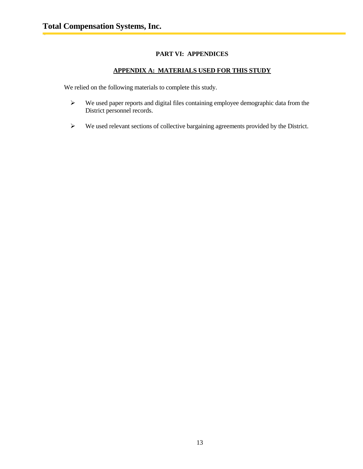## **PART VI: APPENDICES**

## **APPENDIX A: MATERIALS USED FOR THIS STUDY**

We relied on the following materials to complete this study.

- We used paper reports and digital files containing employee demographic data from the District personnel records.
- We used relevant sections of collective bargaining agreements provided by the District.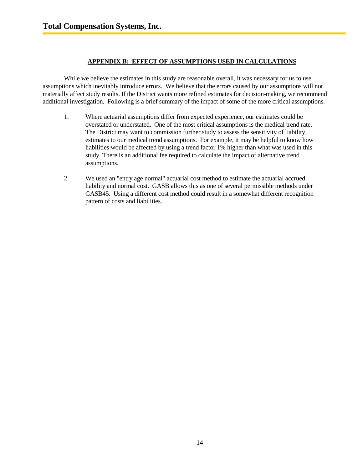## **APPENDIX B: EFFECT OF ASSUMPTIONS USED IN CALCULATIONS**

While we believe the estimates in this study are reasonable overall, it was necessary for us to use assumptions which inevitably introduce errors. We believe that the errors caused by our assumptions will not materially affect study results. If the District wants more refined estimates for decision-making, we recommend additional investigation. Following is a brief summary of the impact of some of the more critical assumptions.

- 1. Where actuarial assumptions differ from expected experience, our estimates could be overstated or understated. One of the most critical assumptions is the medical trend rate. The District may want to commission further study to assess the sensitivity of liability estimates to our medical trend assumptions. For example, it may be helpful to know how liabilities would be affected by using a trend factor 1% higher than what was used in this study. There is an additional fee required to calculate the impact of alternative trend assumptions.
- 2. We used an "entry age normal" actuarial cost method to estimate the actuarial accrued liability and normal cost. GASB allows this as one of several permissible methods under GASB45. Using a different cost method could result in a somewhat different recognition pattern of costs and liabilities.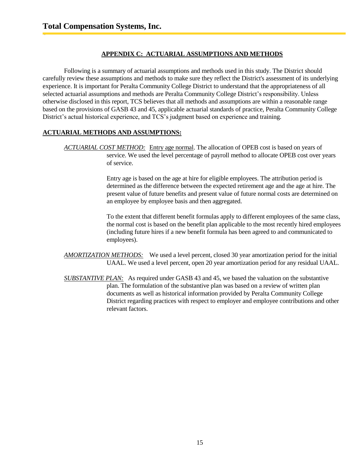## **APPENDIX C: ACTUARIAL ASSUMPTIONS AND METHODS**

Following is a summary of actuarial assumptions and methods used in this study. The District should carefully review these assumptions and methods to make sure they reflect the District's assessment of its underlying experience. It is important for Peralta Community College District to understand that the appropriateness of all selected actuarial assumptions and methods are Peralta Community College District's responsibility. Unless otherwise disclosed in this report, TCS believes that all methods and assumptions are within a reasonable range based on the provisions of GASB 43 and 45, applicable actuarial standards of practice, Peralta Community College District's actual historical experience, and TCS's judgment based on experience and training.

## **ACTUARIAL METHODS AND ASSUMPTIONS:**

*ACTUARIAL COST METHOD:* Entry age normal. The allocation of OPEB cost is based on years of service. We used the level percentage of payroll method to allocate OPEB cost over years of service.

> Entry age is based on the age at hire for eligible employees. The attribution period is determined as the difference between the expected retirement age and the age at hire. The present value of future benefits and present value of future normal costs are determined on an employee by employee basis and then aggregated.

> To the extent that different benefit formulas apply to different employees of the same class, the normal cost is based on the benefit plan applicable to the most recently hired employees (including future hires if a new benefit formula has been agreed to and communicated to employees).

*AMORTIZATION METHODS:* We used a level percent, closed 30 year amortization period for the initial UAAL. We used a level percent, open 20 year amortization period for any residual UAAL.

*SUBSTANTIVE PLAN:* As required under GASB 43 and 45, we based the valuation on the substantive plan. The formulation of the substantive plan was based on a review of written plan documents as well as historical information provided by Peralta Community College District regarding practices with respect to employer and employee contributions and other relevant factors.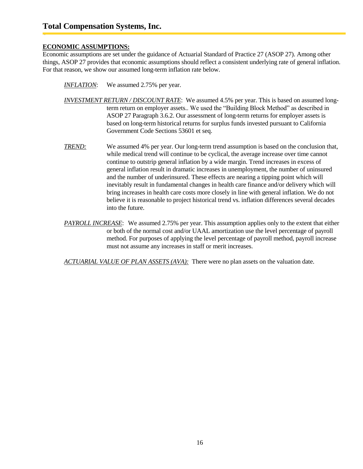## **ECONOMIC ASSUMPTIONS:**

Economic assumptions are set under the guidance of Actuarial Standard of Practice 27 (ASOP 27). Among other things, ASOP 27 provides that economic assumptions should reflect a consistent underlying rate of general inflation. For that reason, we show our assumed long-term inflation rate below.

*INFLATION*: We assumed 2.75% per year.

- *INVESTMENT RETURN / DISCOUNT RATE*: We assumed 4.5% per year. This is based on assumed longterm return on employer assets.. We used the "Building Block Method" as described in ASOP 27 Paragraph 3.6.2. Our assessment of long-term returns for employer assets is based on long-term historical returns for surplus funds invested pursuant to California Government Code Sections 53601 et seq.
- *TREND:* We assumed 4% per year. Our long-term trend assumption is based on the conclusion that, while medical trend will continue to be cyclical, the average increase over time cannot continue to outstrip general inflation by a wide margin. Trend increases in excess of general inflation result in dramatic increases in unemployment, the number of uninsured and the number of underinsured. These effects are nearing a tipping point which will inevitably result in fundamental changes in health care finance and/or delivery which will bring increases in health care costs more closely in line with general inflation. We do not believe it is reasonable to project historical trend vs. inflation differences several decades into the future.
- *PAYROLL INCREASE*: We assumed 2.75% per year. This assumption applies only to the extent that either or both of the normal cost and/or UAAL amortization use the level percentage of payroll method. For purposes of applying the level percentage of payroll method, payroll increase must not assume any increases in staff or merit increases.

*ACTUARIAL VALUE OF PLAN ASSETS (AVA):* There were no plan assets on the valuation date.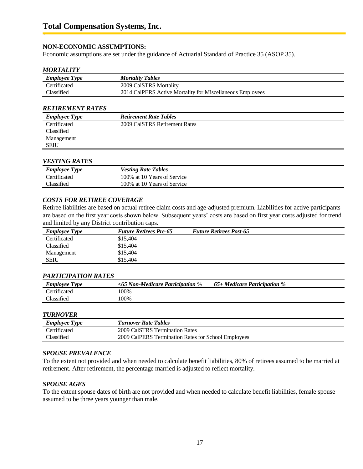## **NON-ECONOMIC ASSUMPTIONS:**

Economic assumptions are set under the guidance of Actuarial Standard of Practice 35 (ASOP 35).

#### *MORTALITY*

| <b>Employee Type</b> | <b>Mortality Tables</b>                                   |
|----------------------|-----------------------------------------------------------|
| <b>Certificated</b>  | 2009 CalSTRS Mortality                                    |
| <b>Tlassified</b>    | 2014 CalPERS Active Mortality for Miscellaneous Employees |

#### *RETIREMENT RATES*

| <b>Employee Type</b> | <b>Retirement Rate Tables</b> |
|----------------------|-------------------------------|
| Certificated         | 2009 CalSTRS Retirement Rates |
| Classified           |                               |
| Management           |                               |
| <b>SEIU</b>          |                               |

#### *VESTING RATES*

| <b>Employee Type</b> | <b>Vesting Rate Tables</b>  |
|----------------------|-----------------------------|
| Certificated         | 100% at 10 Years of Service |
| <b>Classified</b>    | 100% at 10 Years of Service |

#### *COSTS FOR RETIREE COVERAGE*

Retiree liabilities are based on actual retiree claim costs and age-adjusted premium. Liabilities for active participants are based on the first year costs shown below. Subsequent years' costs are based on first year costs adjusted for trend and limited by any District contribution caps.

| <b>Employee Type</b> | <b>Future Retirees Pre-65</b> | <b>Future Retirees Post-65</b> |  |
|----------------------|-------------------------------|--------------------------------|--|
| Certificated         | \$15,404                      |                                |  |
| Classified           | \$15,404                      |                                |  |
| Management           | \$15,404                      |                                |  |
| <b>SEIU</b>          | \$15.404                      |                                |  |

#### *PARTICIPATION RATES*

| <b>Employee Type</b> | $\leq$ 65 Non-Medicare Participation % | $65+$ Medicare Participation % |
|----------------------|----------------------------------------|--------------------------------|
| Certificated         | 100%                                   |                                |
| Classified           | 100%                                   |                                |

## *TURNOVER*

| <b>Employee Type</b> | <b>Turnover Rate Tables</b>                         |
|----------------------|-----------------------------------------------------|
| <b>Certificated</b>  | 2009 CalSTRS Termination Rates                      |
| <b>Tlassified</b>    | 2009 CalPERS Termination Rates for School Employees |

## *SPOUSE PREVALENCE*

To the extent not provided and when needed to calculate benefit liabilities, 80% of retirees assumed to be married at retirement. After retirement, the percentage married is adjusted to reflect mortality.

#### *SPOUSE AGES*

To the extent spouse dates of birth are not provided and when needed to calculate benefit liabilities, female spouse assumed to be three years younger than male.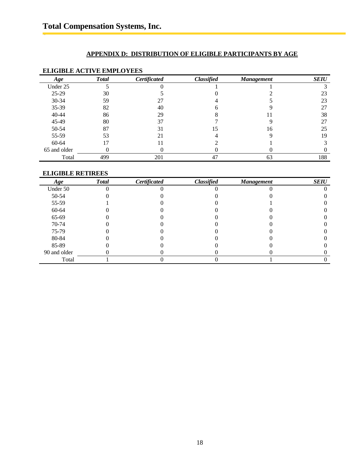## **APPENDIX D: DISTRIBUTION OF ELIGIBLE PARTICIPANTS BY AGE**

## **ELIGIBLE ACTIVE EMPLOYEES**

| Age          | <b>Total</b> | Certificated | <b>Classified</b> | <b>Management</b> | <b>SEIU</b> |
|--------------|--------------|--------------|-------------------|-------------------|-------------|
| Under 25     |              |              |                   |                   |             |
| $25-29$      | 30           |              |                   |                   | 23          |
| $30 - 34$    | 59           | 27           |                   |                   | 23          |
| 35-39        | 82           | 40           |                   |                   | 27          |
| 40-44        | 86           | 29           |                   |                   | 38          |
| 45-49        | 80           | 37           |                   |                   | 27          |
| 50-54        | 87           | 31           |                   | 16                | 25          |
| 55-59        | 53           | 21           |                   |                   | 19          |
| 60-64        |              |              |                   |                   |             |
| 65 and older |              |              |                   |                   |             |
| Total        | 499          | 201          | 47                | 63                | 188         |

## **ELIGIBLE RETIREES**

| Age          | <b>Total</b> | Certificated | <b>Classified</b> | <b>Management</b> | <b>SEIU</b> |
|--------------|--------------|--------------|-------------------|-------------------|-------------|
| Under 50     |              |              |                   |                   |             |
| 50-54        |              |              |                   |                   |             |
| 55-59        |              |              |                   |                   |             |
| 60-64        |              |              |                   |                   |             |
| 65-69        |              |              |                   |                   |             |
| 70-74        |              |              |                   |                   |             |
| 75-79        |              |              |                   |                   |             |
| 80-84        |              |              |                   |                   |             |
| 85-89        |              |              |                   |                   |             |
| 90 and older |              |              |                   |                   |             |
| Total        |              |              |                   |                   |             |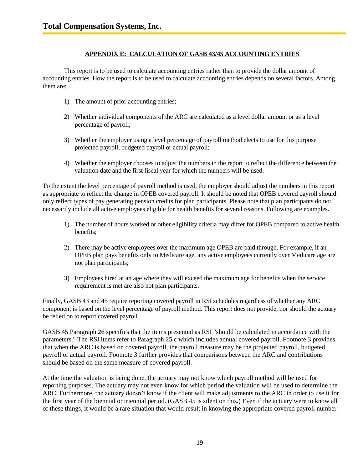## **APPENDIX E: CALCULATION OF GASB 43/45 ACCOUNTING ENTRIES**

This report is to be used to calculate accounting entries rather than to provide the dollar amount of accounting entries. How the report is to be used to calculate accounting entries depends on several factors. Among them are:

- 1) The amount of prior accounting entries;
- 2) Whether individual components of the ARC are calculated as a level dollar amount or as a level percentage of payroll;
- 3) Whether the employer using a level percentage of payroll method elects to use for this purpose projected payroll, budgeted payroll or actual payroll;
- 4) Whether the employer chooses to adjust the numbers in the report to reflect the difference between the valuation date and the first fiscal year for which the numbers will be used.

To the extent the level percentage of payroll method is used, the employer should adjust the numbers in this report as appropriate to reflect the change in OPEB covered payroll. It should be noted that OPEB covered payroll should only reflect types of pay generating pension credits for plan participants. Please note that plan participants do not necessarily include all active employees eligible for health benefits for several reasons. Following are examples.

- 1) The number of hours worked or other eligibility criteria may differ for OPEB compared to active health benefits;
- 2) There may be active employees over the maximum age OPEB are paid through. For example, if an OPEB plan pays benefits only to Medicare age, any active employees currently over Medicare age are not plan participants;
- 3) Employees hired at an age where they will exceed the maximum age for benefits when the service requirement is met are also not plan participants.

Finally, GASB 43 and 45 require reporting covered payroll in RSI schedules regardless of whether any ARC component is based on the level percentage of payroll method. This report does not provide, nor should the actuary be relied on to report covered payroll.

GASB 45 Paragraph 26 specifies that the items presented as RSI "should be calculated in accordance with the parameters." The RSI items refer to Paragraph 25.c which includes annual covered payroll. Footnote 3 provides that when the ARC is based on covered payroll, the payroll measure may be the projected payroll, budgeted payroll or actual payroll. Footnote 3 further provides that comparisons between the ARC and contributions should be based on the same measure of covered payroll.

At the time the valuation is being done, the actuary may not know which payroll method will be used for reporting purposes. The actuary may not even know for which period the valuation will be used to determine the ARC. Furthermore, the actuary doesn't know if the client will make adjustments to the ARC in order to use it for the first year of the biennial or triennial period. (GASB 45 is silent on this.) Even if the actuary were to know all of these things, it would be a rare situation that would result in knowing the appropriate covered payroll number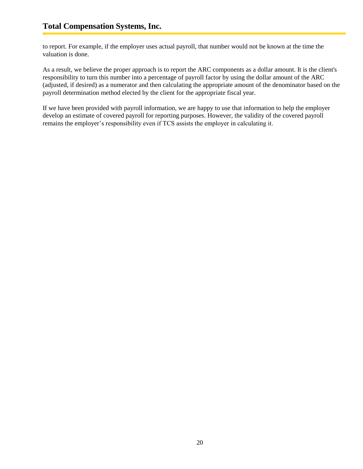to report. For example, if the employer uses actual payroll, that number would not be known at the time the valuation is done.

As a result, we believe the proper approach is to report the ARC components as a dollar amount. It is the client's responsibility to turn this number into a percentage of payroll factor by using the dollar amount of the ARC (adjusted, if desired) as a numerator and then calculating the appropriate amount of the denominator based on the payroll determination method elected by the client for the appropriate fiscal year.

If we have been provided with payroll information, we are happy to use that information to help the employer develop an estimate of covered payroll for reporting purposes. However, the validity of the covered payroll remains the employer's responsibility even if TCS assists the employer in calculating it.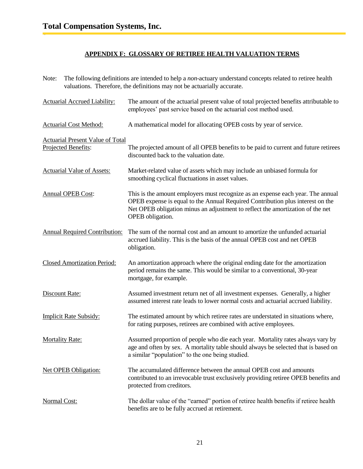## **APPENDIX F: GLOSSARY OF RETIREE HEALTH VALUATION TERMS**

Note: The following definitions are intended to help a *non*-actuary understand concepts related to retiree health valuations. Therefore, the definitions may not be actuarially accurate.

| <b>Actuarial Accrued Liability:</b>                            | The amount of the actuarial present value of total projected benefits attributable to<br>employees' past service based on the actuarial cost method used.                                                                                                               |
|----------------------------------------------------------------|-------------------------------------------------------------------------------------------------------------------------------------------------------------------------------------------------------------------------------------------------------------------------|
| <b>Actuarial Cost Method:</b>                                  | A mathematical model for allocating OPEB costs by year of service.                                                                                                                                                                                                      |
| <b>Actuarial Present Value of Total</b><br>Projected Benefits: | The projected amount of all OPEB benefits to be paid to current and future retirees<br>discounted back to the valuation date.                                                                                                                                           |
| <b>Actuarial Value of Assets:</b>                              | Market-related value of assets which may include an unbiased formula for<br>smoothing cyclical fluctuations in asset values.                                                                                                                                            |
| <b>Annual OPEB Cost:</b>                                       | This is the amount employers must recognize as an expense each year. The annual<br>OPEB expense is equal to the Annual Required Contribution plus interest on the<br>Net OPEB obligation minus an adjustment to reflect the amortization of the net<br>OPEB obligation. |
| <b>Annual Required Contribution:</b>                           | The sum of the normal cost and an amount to amortize the unfunded actuarial<br>accrued liability. This is the basis of the annual OPEB cost and net OPEB<br>obligation.                                                                                                 |
| <b>Closed Amortization Period:</b>                             | An amortization approach where the original ending date for the amortization<br>period remains the same. This would be similar to a conventional, 30-year<br>mortgage, for example.                                                                                     |
| Discount Rate:                                                 | Assumed investment return net of all investment expenses. Generally, a higher<br>assumed interest rate leads to lower normal costs and actuarial accrued liability.                                                                                                     |
| <b>Implicit Rate Subsidy:</b>                                  | The estimated amount by which retiree rates are understated in situations where,<br>for rating purposes, retirees are combined with active employees.                                                                                                                   |
| <b>Mortality Rate:</b>                                         | Assumed proportion of people who die each year. Mortality rates always vary by<br>age and often by sex. A mortality table should always be selected that is based on<br>a similar "population" to the one being studied.                                                |
| <b>Net OPEB Obligation:</b>                                    | The accumulated difference between the annual OPEB cost and amounts<br>contributed to an irrevocable trust exclusively providing retiree OPEB benefits and<br>protected from creditors.                                                                                 |
| Normal Cost:                                                   | The dollar value of the "earned" portion of retiree health benefits if retiree health<br>benefits are to be fully accrued at retirement.                                                                                                                                |